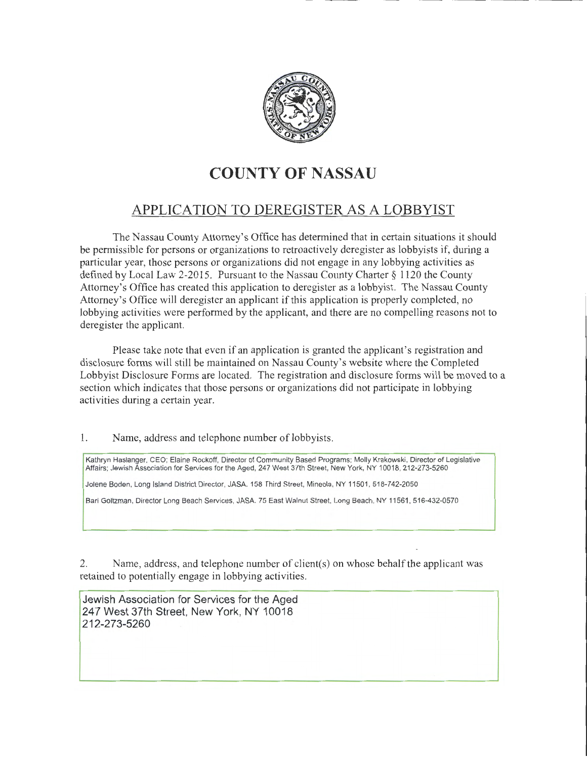

# **COUNTY OF NASSAU**

## APPLICATION TO DEREGISTER AS A LOBBYIST

The Nassau County Attorney's Office has determined that in certain situations it should be permissible for persons or organizations to retroactively deregister as lobbyists if, during a particular year, those persons or organizations did not engage in any lobbying activities as defined by Local Law 2-2015. Pursuant to the Nassau County Charter§ 1120 the County Attorney's Office has created this application to deregister as a lobbyist. The Nassau County Attorney's Office will deregister an applicant if this application is properly completed, no lobbying activities were performed by the applicant, and there are no compelling reasons not to deregister the applicant.

Please take note that even if an application is granted the applicant's registration and disclosure forms will still be maintained on Nassau County's website where the Completed Lobbyist Disclosure Forms are located. The registration and disclosure forms will be moved to a section which indicates that those persons or organizations did not participate in lobbying activities during a certain year.

## 1. Name, address and telephone number of lobbyists.

Kathryn Haslanger, CEO; Elaine Rockoff, Director of Community Based Programs; Molly Krakowski, Director of Legislative Affairs; Jewish Association for Services for the Aged, 247 West 37th Street, New York, NY 10018, 212-273-5260

Jolene Boden, Long Island District Director, JASA. 158 Third Street, Mineola, NY 11501 , 518-742-2050

Bari Goltzman, Director Long Beach Services, JASA. 75 East Walnut Street, Long Beach, NY 11561, 516-432-0570

2. Name, address, and telephone number of client(s) on whose behalf the applicant was retained to potentially engage in lobbying activities.

Jewish Association for Services for the Aged 247 West 37th Street, New York, NY 10018 212-273-5260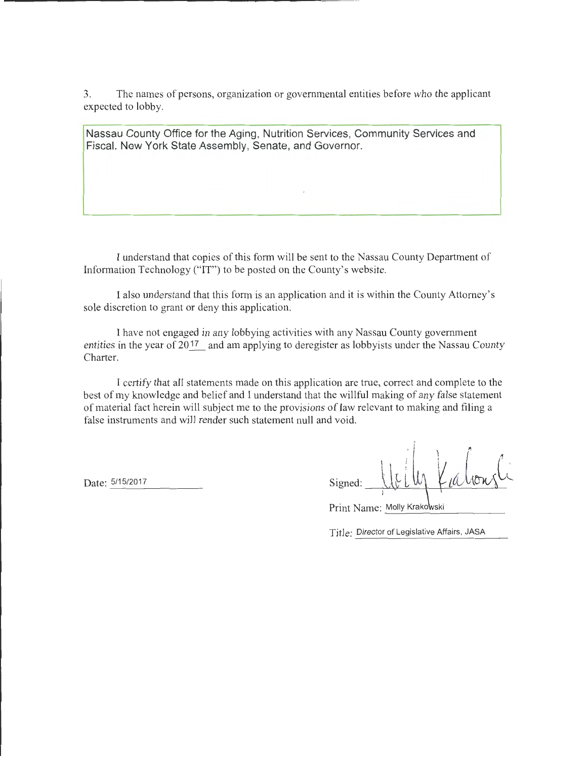3. The names of persons, organization or governmental entities before who the applicant expected to lobby.

Nassau County Office for the Aging, Nutrition Services, Community Services and Fiscal. New York State Assembly, Senate, and Governor.

I understand that copies of this form will be sent to the Nassau County Department of Information Technology ("IT") to be posted on the County's website.

I also understand that this form is an application and it is within the County Attorney's sole discretion to grant or deny this application.

I have not engaged in any lobbying activities with any Nassau County government entities in the year of  $20^{17}$  and am applying to deregister as lobbyists under the Nassau County Charter.

I certify that all statements made on this application are true, correct and complete to the best of my knowledge and belief and I understand that the willful making of any false statement of material fact herein will subject me to the provisions of law relevant to making and filing a false instruments and will render such statement null and void.

Date: 5/15/2017

| Signed: |                           | $A\partial^2 W$ |
|---------|---------------------------|-----------------|
|         | ٠<br>$\ddot{\phantom{1}}$ | ٠               |

| Print Name: Molly Krakowski |  |
|-----------------------------|--|
|                             |  |

Title: Director of Legislative Affairs, JASA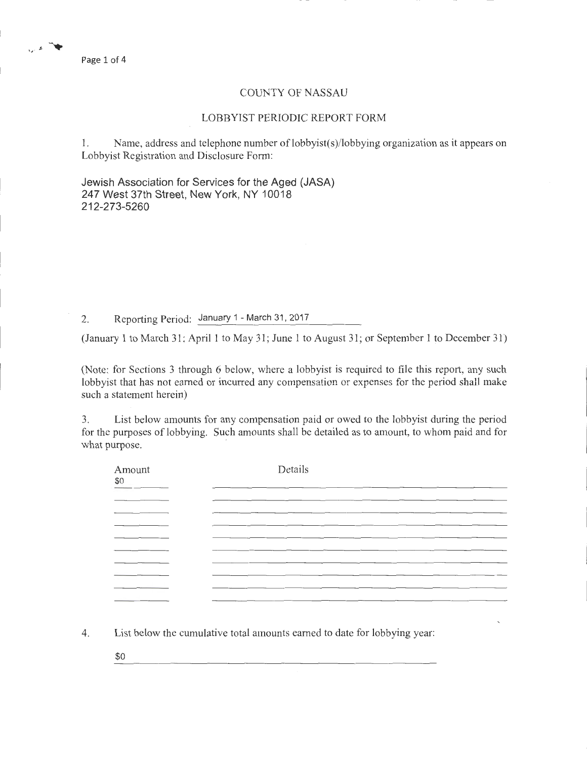مهاش المراري

### COUNTY OF NASSAU

#### LOBBYIST PERIODIC REPORT FORM

1. Name, address and telephone number of lobbyist(s)/lobbying organization as it appears on Lobbyist Registration and Disclosure Form:

Jewish Association for Services for the Aged (JASA) 247 West 37th Street, New York, NY 10018 212-273-5260

2. Reporting Period: January 1 - March 31, 2017

(January 1 to March 31; April 1 to May 31; June 1 to August 31; or September 1 to December 31)

(Note: for Sections 3 through 6 below, where a lobbyist is required to file this report, any such lobbyist that has not earned or incurred any compensation or expenses for the period shall make such a statement herein)

3. List below amounts for any compensation paid or owed to the lobbyist during the period for the purposes of lobbying. Such amounts shall be detailed as to amount, to whom paid and for what purpose.

| Amount<br>80 | Details |
|--------------|---------|
|              |         |
|              |         |
| _______      |         |
| ____         |         |
|              | _______ |
|              |         |
|              | ___     |
|              |         |
|              |         |

4. List below the cumulative total amounts earned to date for lobbying year:

\$0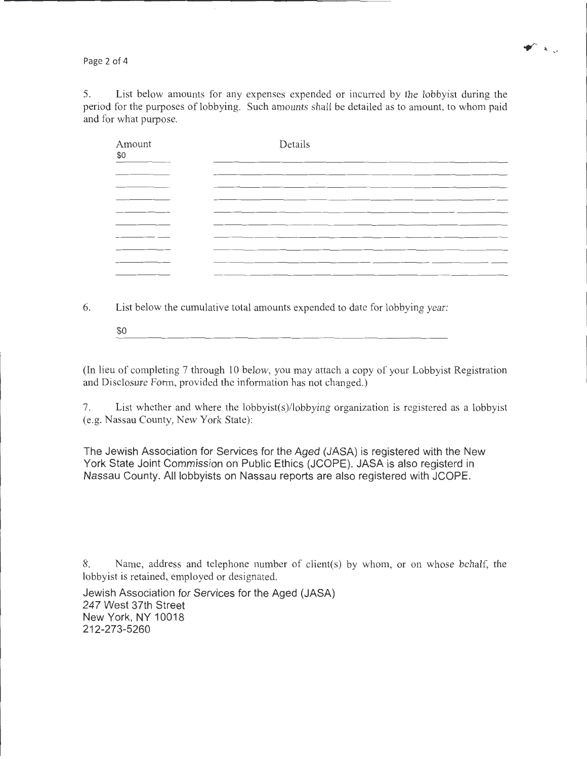Page 2 of 4

5. List below amounts for any expenses expended or incurred by the lobbyist during the period for the purposes of lobbying. Such amounts shall be detailed as to amount, to whom paid and for what purpose.

 $\blacktriangleright$   $\blacktriangleright$   $\blacktriangleright$ 

| Amount<br>\$0 | Details |  |
|---------------|---------|--|
|               |         |  |
|               | $\cdot$ |  |
|               |         |  |
|               |         |  |
|               |         |  |
|               |         |  |
|               |         |  |
|               |         |  |

6. List below the cumulative total amounts expended to date for lobbying year:

\$0

(In lieu of completing 7 through 10 below, you may attach a copy of your Lobbyist Registration and Disclosure Form, provided the information has not changed.)

7. List whether and where the lobbyist(s)/lobbying organization is registered as a lobbyist (e.g. Nassau County, New York State):

The Jewish Association for Services for the Aged (JASA) is registered with the New York State Joint Commission on Public Ethics (JCOPE). JASA is also registerd in Nassau County. All lobbyists on Nassau reports are also registered with JCOPE.

8. Name, address and telephone number of client(s) by whom, or on whose behalf, the lobbyist is retained, employed or designated.

Jewish Association for Services for the Aged (JASA) 247 West 37th Street New York, NY 10018 212-273-5260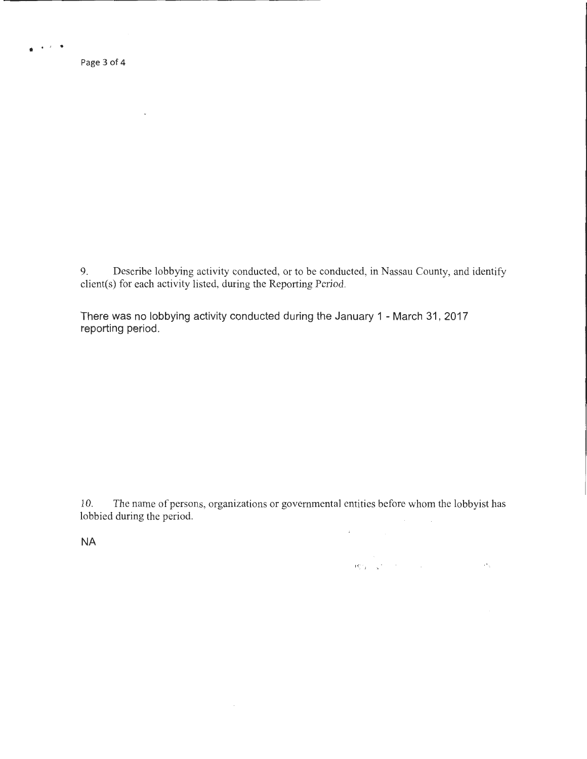. . ' . Page 3 of 4

 $\mathcal{L}$ 

9. Describe lobbying activity conducted, or to be conducted, in Nassau County, and identify client(s) for each activity listed, during the Reporting Period.

There was no lobbying activity conducted during the January 1 - March 31, 2017 reporting period.

10. The name of persons, organizations or governmental entities before whom the lobbyist has lobbied during the period.

 $\sim$ 

 $\left\langle \mathbf{f}_{\mathbf{S}}^{\mathbf{G}}\right\rangle _{1}=\left\langle \mathbf{g}_{\mathbf{S}}^{\mathbf{G}}\right\rangle _{1}=\left\langle \mathbf{g}_{\mathbf{S}}^{\mathbf{G}}\right\rangle _{1}=\left\langle \mathbf{g}_{\mathbf{S}}^{\mathbf{G}}\right\rangle _{1}=\left\langle \mathbf{g}_{\mathbf{S}}^{\mathbf{G}}\right\rangle _{1}=\left\langle \mathbf{g}_{\mathbf{S}}^{\mathbf{G}}\right\rangle _{1}=\left\langle \mathbf{g}_{\mathbf{S}}^{\mathbf{G}}\right\rangle _{1}=\left\$ 

 $\mathsf{NA}$